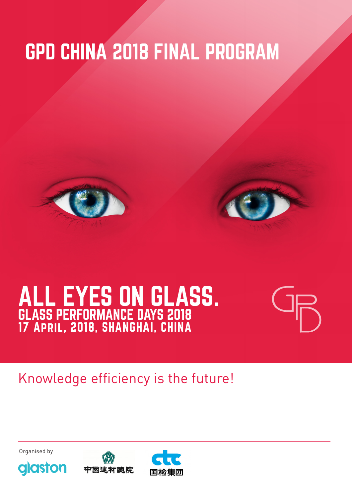# GPD CHINA 2018 FINAL PROGRAM





# ALL EYES ON GLASS. GLASS PERFORMANCE DAYS 2018 17 April, 2018, SHANGHAI, CHINA



# Knowledge efficiency is the future!



glaston



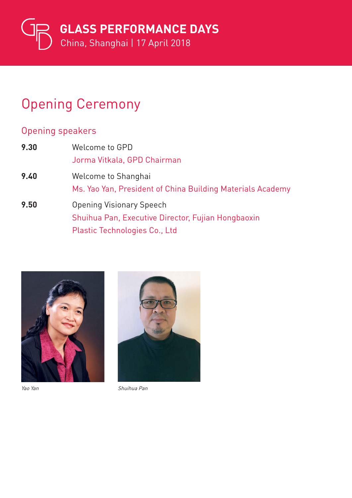

### Opening Ceremony

#### Opening speakers

| 9.30 | Welcome to GPD                                                                                                                |  |
|------|-------------------------------------------------------------------------------------------------------------------------------|--|
|      | Jorma Vitkala, GPD Chairman                                                                                                   |  |
| 9.40 | Welcome to Shanghai<br>Ms. Yao Yan, President of China Building Materials Academy                                             |  |
| 9.50 | <b>Opening Visionary Speech</b><br>Shuihua Pan, Executive Director, Fujian Hongbaoxin<br><b>Plastic Technologies Co., Ltd</b> |  |





Yao Yan Shuihua Pan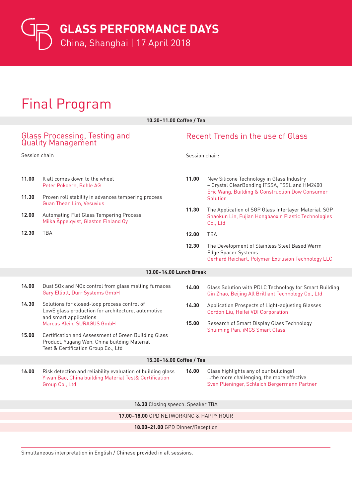**GLASS PERFORMANCE DAYS** 

China, Shanghai | 17 April 2018

# Final Program

| 10.30-11.00 Coffee / Tea                                   |                                                                                                                                                                                                                                        |                                   |                                                                                                                                                           |  |
|------------------------------------------------------------|----------------------------------------------------------------------------------------------------------------------------------------------------------------------------------------------------------------------------------------|-----------------------------------|-----------------------------------------------------------------------------------------------------------------------------------------------------------|--|
| Glass Processing, Testing and<br><b>Quality Management</b> |                                                                                                                                                                                                                                        | Recent Trends in the use of Glass |                                                                                                                                                           |  |
| Session chair:                                             |                                                                                                                                                                                                                                        | Session chair:                    |                                                                                                                                                           |  |
| 11.00<br>11.30                                             | It all comes down to the wheel<br>Peter Pokoern, Bohle AG<br>Proven roll stability in advances tempering process<br><b>Guan Thean Lim, Vesuvius</b><br>Automating Flat Glass Tempering Process<br>Miika Äppelqvist, Glaston Finland Oy |                                   | New Silicone Technology in Glass Industry<br>- Crystal ClearBonding (TSSA, TSSL and HM2400<br>Eric Wang, Building & Construction Dow Consumer<br>Solution |  |
| 12.00                                                      |                                                                                                                                                                                                                                        |                                   | The Application of SGP Glass Interlayer Material, SGP<br>Shaokun Lin, Fujian Hongbaoxin Plastic Technologies<br>Co., Ltd                                  |  |
| 12.30                                                      | <b>TBA</b>                                                                                                                                                                                                                             | 12.00                             | <b>TBA</b>                                                                                                                                                |  |
|                                                            |                                                                                                                                                                                                                                        | 12.30                             | The Development of Stainless Steel Based Warm<br><b>Edge Spacer Systems</b><br>Gerhard Reichart, Polymer Extrusion Technology LLC                         |  |
|                                                            | 13.00-14.00 Lunch Break                                                                                                                                                                                                                |                                   |                                                                                                                                                           |  |
| 14.00                                                      | Dust SOx and NOx control from glass melting furnaces<br>Gary Elliott, Durr Systems GmbH                                                                                                                                                | 14.00                             | Glass Solution with PDLC Technology for Smart Building<br>Qin Zhao, Beijing All Brilliant Technology Co., Ltd                                             |  |
| 14.30                                                      | Solutions for closed-loop process control of<br>LowE glass production for architecture, automotive<br>and smart applications                                                                                                           | 14.30                             | Application Prospects of Light-adjusting Glasses<br>Gordon Liu, Heifei VDI Corporation                                                                    |  |
|                                                            | Marcus Klein, SURAGUS GmbH                                                                                                                                                                                                             | 15.00                             | Research of Smart Display Glass Technology                                                                                                                |  |
| 15.00                                                      | Certification and Assessment of Green Building Glass<br>Product, Yugang Wen, China building Material<br>Test & Certification Group Co., Ltd                                                                                            |                                   | <b>Shuiming Pan, iMGS Smart Glass</b>                                                                                                                     |  |
| 15.30-16.00 Coffee / Tea                                   |                                                                                                                                                                                                                                        |                                   |                                                                                                                                                           |  |
| 16.00                                                      | Risk detection and reliability evaluation of building glass<br>Yiwan Bao, China building Material Test& Certification<br>Group Co., Ltd                                                                                                | 16.00                             | Glass highlights any of our buildings!<br>the more challenging, the more effective<br>Sven Plieninger, Schlaich Bergermann Partner                        |  |
| 16.30 Closing speech. Speaker TBA                          |                                                                                                                                                                                                                                        |                                   |                                                                                                                                                           |  |
| 17.00-18.00 GPD NETWORKING & HAPPY HOUR                    |                                                                                                                                                                                                                                        |                                   |                                                                                                                                                           |  |
| 18.00-21.00 GPD Dinner/Reception                           |                                                                                                                                                                                                                                        |                                   |                                                                                                                                                           |  |

Simultaneous interpretation in English / Chinese provided in all sessions.